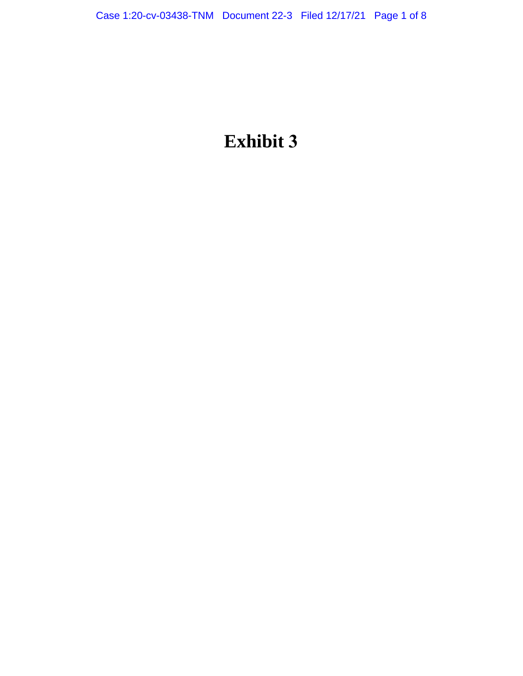# **Exhibit 3**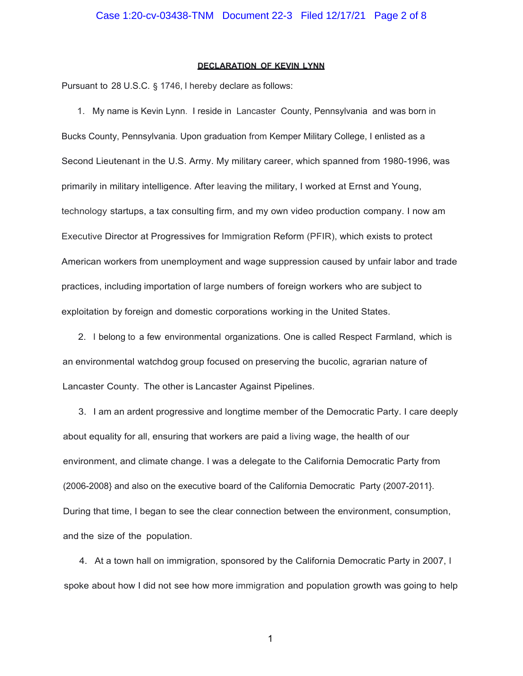### **DECLARATION OF KEVIN LYNN**

Pursuant to 28 U.S.C. § 1746, I hereby declare as follows:

1. My name is Kevin Lynn. I reside in Lancaster County, Pennsylvania and was born in Bucks County, Pennsylvania. Upon graduation from Kemper Military College, I enlisted as a Second Lieutenant in the U.S. Army. My military career, which spanned from 1980-1996, was primarily in military intelligence. After leaving the military, I worked at Ernst and Young, technology startups, a tax consulting firm, and my own video production company. I now am Executive Director at Progressives for Immigration Reform (PFIR), which exists to protect American workers from unemployment and wage suppression caused by unfair labor and trade practices, including importation of large numbers of foreign workers who are subject to exploitation by foreign and domestic corporations working in the United States.

2. I belong to a few environmental organizations. One is called Respect Farmland, which is an environmental watchdog group focused on preserving the bucolic, agrarian nature of Lancaster County. The other is Lancaster Against Pipelines.

3. I am an ardent progressive and longtime member of the Democratic Party. I care deeply about equality for all, ensuring that workers are paid a living wage, the health of our environment, and climate change. I was a delegate to the California Democratic Party from (2006-2008} and also on the executive board of the California Democratic Party (2007-2011}. During that time, I began to see the clear connection between the environment, consumption, and the size of the population.

4. At a town hall on immigration, sponsored by the California Democratic Party in 2007, I spoke about how I did not see how more immigration and population growth was going to help

1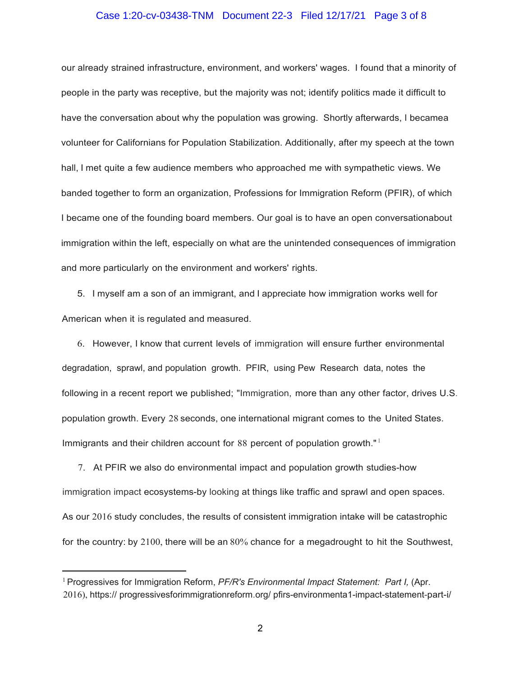## Case 1:20-cv-03438-TNM Document 22-3 Filed 12/17/21 Page 3 of 8

our already strained infrastructure, environment, and workers' wages. I found that a minority of people in the party was receptive, but the majority was not; identify politics made it difficult to have the conversation about why the population was growing. Shortly afterwards, I becamea volunteer for Californians for Population Stabilization. Additionally, after my speech at the town hall, I met quite a few audience members who approached me with sympathetic views. We banded together to form an organization, Professions for Immigration Reform (PFIR), of which I became one of the founding board members. Our goal is to have an open conversationabout immigration within the left, especially on what are the unintended consequences of immigration and more particularly on the environment and workers' rights.

5. I myself am a son of an immigrant, and I appreciate how immigration works well for American when it is regulated and measured.

6. However, I know that current levels of immigration will ensure further environmental degradation, sprawl, and population growth. PFIR, using Pew Research data, notes the following in a recent report we published; "Immigration, more than any other factor, drives U.S. population growth. Every 28 seconds, one international migrant comes to the United States. Immigrants and their children account for 88 percent of population growth."<sup>1</sup>

7. At PFIR we also do environmental impact and population growth studies-how immigration impact ecosystems-by looking at things like traffic and sprawl and open spaces. As our 2016 study concludes, the results of consistent immigration intake will be catastrophic for the country: by 2100, there will be an 80% chance for a megadrought to hit the Southwest,

<sup>1</sup> Progressives for Immigration Reform, *PF/R's Environmental Impact Statement: Part I,* (Apr. 2016), https:// progressivesforimmigrationreform.org/ pfirs-environmenta1-impact-statement-part-i/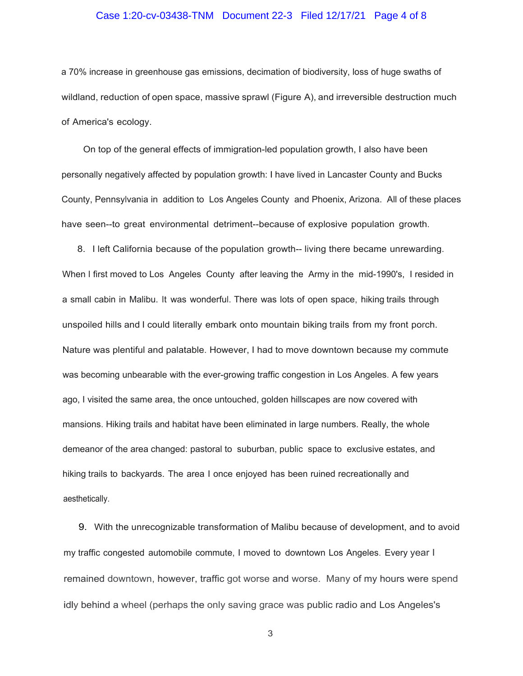### Case 1:20-cv-03438-TNM Document 22-3 Filed 12/17/21 Page 4 of 8

a 70% increase in greenhouse gas emissions, decimation of biodiversity, loss of huge swaths of wildland, reduction of open space, massive sprawl (Figure A), and irreversible destruction much of America's ecology.

On top of the general effects of immigration-led population growth, I also have been personally negatively affected by population growth: I have lived in Lancaster County and Bucks County, Pennsylvania in addition to Los Angeles County and Phoenix, Arizona. All of these places have seen--to great environmental detriment--because of explosive population growth.

8. I left California because of the population growth-- living there became unrewarding. When I first moved to Los Angeles County after leaving the Army in the mid-1990's, I resided in a small cabin in Malibu. It was wonderful. There was lots of open space, hiking trails through unspoiled hills and I could literally embark onto mountain biking trails from my front porch. Nature was plentiful and palatable. However, I had to move downtown because my commute was becoming unbearable with the ever-growing traffic congestion in Los Angeles. A few years ago, I visited the same area, the once untouched, golden hillscapes are now covered with mansions. Hiking trails and habitat have been eliminated in large numbers. Really, the whole demeanor of the area changed: pastoral to suburban, public space to exclusive estates, and hiking trails to backyards. The area I once enjoyed has been ruined recreationally and aesthetically.

9. With the unrecognizable transformation of Malibu because of development, and to avoid my traffic congested automobile commute, I moved to downtown Los Angeles. Every year I remained downtown, however, traffic got worse and worse. Many of my hours were spend idly behind a wheel (perhaps the only saving grace was public radio and Los Angeles's

3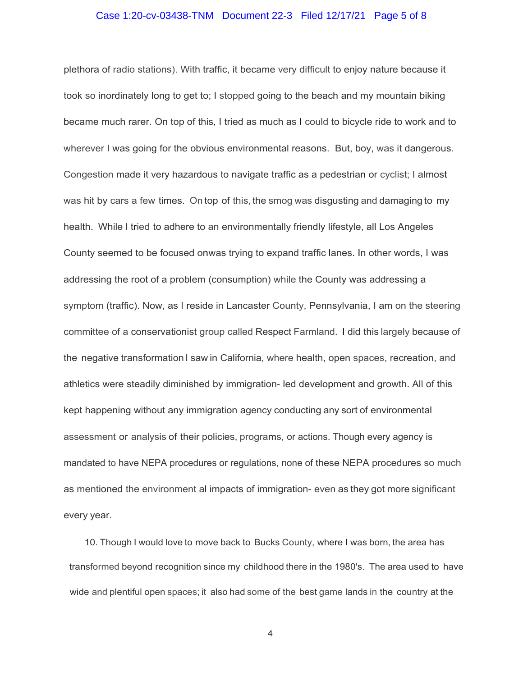## Case 1:20-cv-03438-TNM Document 22-3 Filed 12/17/21 Page 5 of 8

plethora of radio stations). With traffic, it became very difficult to enjoy nature because it took so inordinately long to get to; I stopped going to the beach and my mountain biking became much rarer. On top of this, I tried as much as I could to bicycle ride to work and to wherever I was going for the obvious environmental reasons. But, boy, was it dangerous. Congestion made it very hazardous to navigate traffic as a pedestrian or cyclist; I almost was hit by cars a few times. On top of this, the smog was disgusting and damaging to my health. While I tried to adhere to an environmentally friendly lifestyle, all Los Angeles County seemed to be focused onwas trying to expand traffic lanes. In other words, I was addressing the root of a problem (consumption) while the County was addressing a symptom (traffic). Now, as I reside in Lancaster County, Pennsylvania, I am on the steering committee of a conservationist group called Respect Farmland. I did this largely because of the negative transformation I saw in California, where health, open spaces, recreation, and athletics were steadily diminished by immigration- led development and growth. All of this kept happening without any immigration agency conducting any sort of environmental assessment or analysis of their policies, programs, or actions. Though every agency is mandated to have NEPA procedures or regulations, none of these NEPA procedures so much as mentioned the environment al impacts of immigration- even as they got more significant every year.

10. Though I would love to move back to Bucks County, where I was born, the area has transformed beyond recognition since my childhood there in the 1980's. The area used to have wide and plentiful open spaces; it also had some of the best game lands in the country at the

4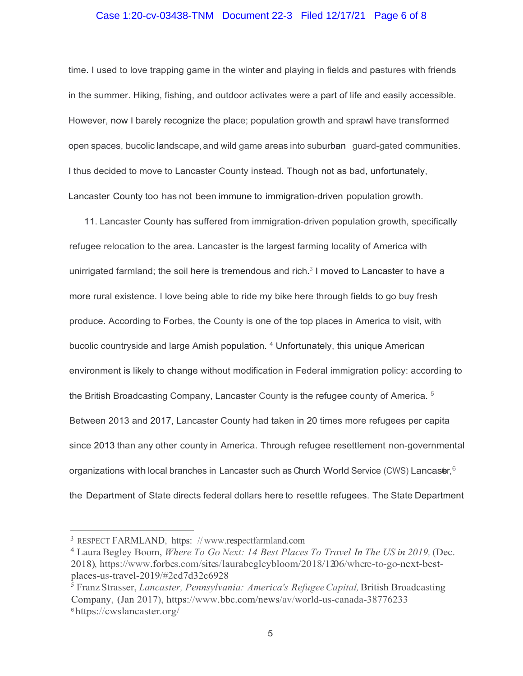# Case 1:20-cv-03438-TNM Document 22-3 Filed 12/17/21 Page 6 of 8

time. I used to love trapping game in the winter and playing in fields and pastures with friends in the summer. Hiking, fishing, and outdoor activates were a part of life and easily accessible. However, now I barely recognize the place; population growth and sprawl have transformed open spaces, bucolic landscape, and wild game areas into suburban guard-gated communities. I thus decided to move to Lancaster County instead. Though not as bad, unfortunately, Lancaster County too has not been immune to immigration-driven population growth.

11. Lancaster County has suffered from immigration-driven population growth, specifically refugee relocation to the area. Lancaster is the largest farming locality of America with unirrigated farmland; the soil here is tremendous and rich. $3$  I moved to Lancaster to have a more rural existence. I love being able to ride my bike here through fields to go buy fresh produce. According to Forbes, the County is one of the top places in America to visit, with bucolic countryside and large Amish population. 4 Unfortunately, this unique American environment is likely to change without modification in Federal immigration policy: according to the British Broadcasting Company, Lancaster County is the refugee county of America.  $5$ Between 2013 and 2017, Lancaster County had taken in 20 times more refugees per capita since 2013 than any other county in America. Through refugee resettlement non-governmental organizations with local branches in Lancaster such as Church World Service (CWS) Lancas $\mathsf{tr},^\mathsf{6}$ the Department of State directs federal dollars here to resettle refugees. The State Department

<sup>3</sup> RESPECT FARMLAND, https: // [www.respectfarmland.com](http://www.respectfarmland.com/)

<sup>4</sup> Laura Begley Boom, *Where To Go Next: 14 Best Places To Travel In The US in 2019,* (Dec. 2018), https:[//www.forbes.com/sites/laurabegleybloom/2018/12/06/where-to-go-next-best](http://www.forbes.com/sites/laurabegleybloom/2018/12/06/where-to-go-next-best)places-us-travel-2019/#2cd7d32c6928

<sup>5</sup> Franz Strasser, *Lancaster, Pennsylvania: America's RefugeeCapital,*British Broadcasting Company, (Jan 2017), https[://www.bbc.com/news/av/world-us-canada-38776233](http://www.bbc.com/news/av/world-us-canada-38776233) <sup>6</sup> https://cwslancaster.org/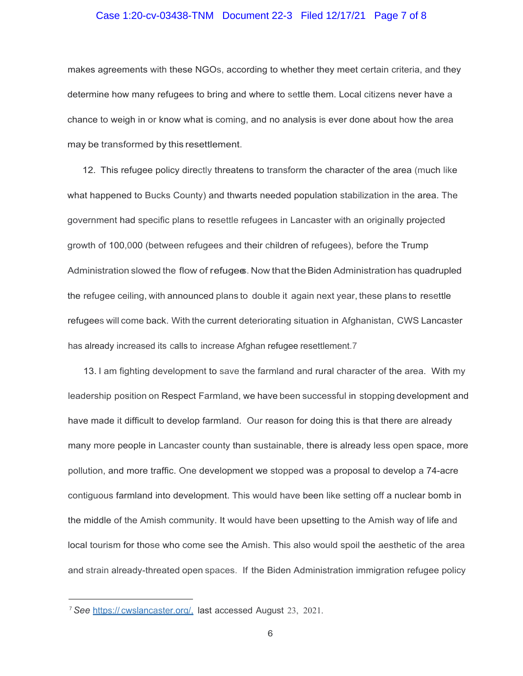#### Case 1:20-cv-03438-TNM Document 22-3 Filed 12/17/21 Page 7 of 8

makes agreements with these NGOs, according to whether they meet certain criteria, and they determine how many refugees to bring and where to settle them. Local citizens never have a chance to weigh in or know what is coming, and no analysis is ever done about how the area may be transformed by this resettlement.

12. This refugee policy directly threatens to transform the character of the area (much like what happened to Bucks County) and thwarts needed population stabilization in the area. The government had specific plans to resettle refugees in Lancaster with an originally projected growth of 100,000 (between refugees and their children of refugees), before the Trump Administration slowed the flow of refuges. Now that the Biden Administration has quadrupled the refugee ceiling, with announced plans to double it again next year, these plans to resettle refugees will come back. With the current deteriorating situation in Afghanistan, CWS Lancaster has already increased its calls to increase Afghan refugee resettlement.7

13. I am fighting development to save the farmland and rural character of the area. With my leadership position on Respect Farmland, we have been successful in stopping development and have made it difficult to develop farmland. Our reason for doing this is that there are already many more people in Lancaster county than sustainable, there is already less open space, more pollution, and more traffic. One development we stopped was a proposal to develop a 74-acre contiguous farmland into development. This would have been like setting off a nuclear bomb in the middle of the Amish community. It would have been upsetting to the Amish way of life and local tourism for those who come see the Amish. This also would spoil the aesthetic of the area and strain already-threated open spaces. If the Biden Administration immigration refugee policy

<sup>7</sup>*See* https:// cwslancaster.org/, last accessed August 23, 2021.